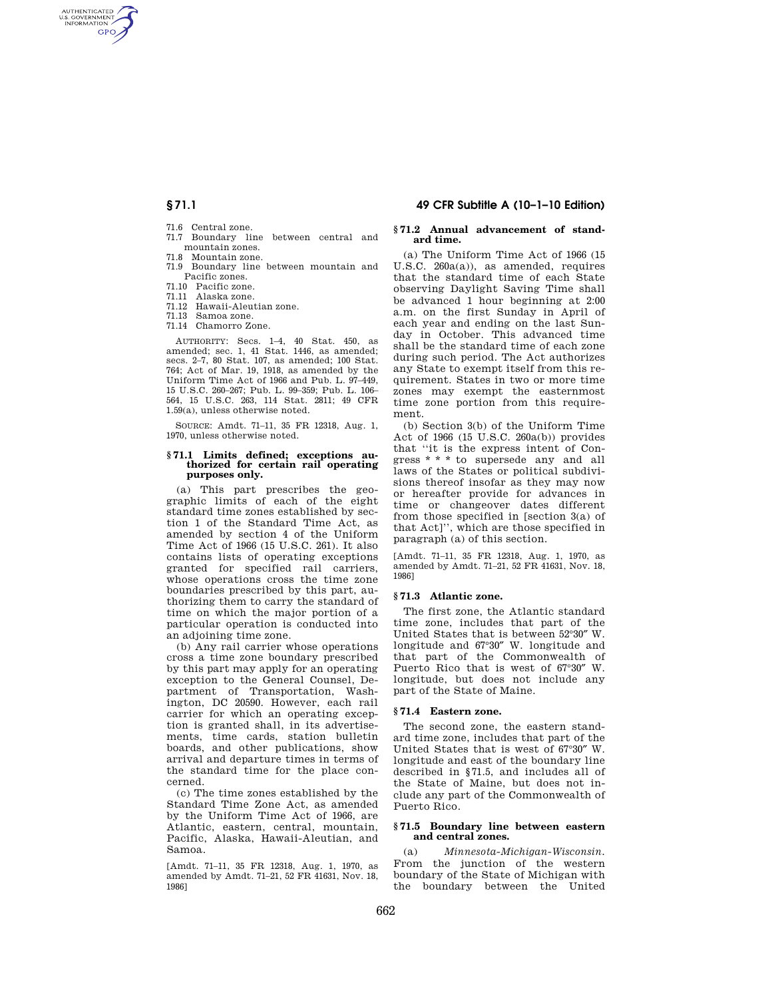AUTHENTICATED<br>U.S. GOVERNMENT<br>INFORMATION **GPO** 

- 71.6 Central zone. 71.7 Boundary line between central and
- mountain zones. 71.8 Mountain zone.
- 71.9 Boundary line between mountain and Pacific zones.
- 71.10 Pacific zone.
- 71.11 Alaska zone.
- 71.12 Hawaii-Aleutian zone.
- 71.13 Samoa zone. 71.14 Chamorro Zone.
- 

AUTHORITY: Secs. 1–4, 40 Stat. 450, as amended; sec. 1, 41 Stat. 1446, as amended; secs. 2–7, 80 Stat. 107, as amended; 100 Stat. 764; Act of Mar. 19, 1918, as amended by the Uniform Time Act of 1966 and Pub. L. 97–449, 15 U.S.C. 260–267; Pub. L. 99–359; Pub. L. 106– 564, 15 U.S.C. 263, 114 Stat. 2811; 49 CFR 1.59(a), unless otherwise noted.

SOURCE: Amdt. 71–11, 35 FR 12318, Aug. 1, 1970, unless otherwise noted.

#### **§ 71.1 Limits defined; exceptions authorized for certain rail operating purposes only.**

(a) This part prescribes the geographic limits of each of the eight standard time zones established by section 1 of the Standard Time Act, as amended by section 4 of the Uniform Time Act of 1966 (15 U.S.C. 261). It also contains lists of operating exceptions granted for specified rail carriers, whose operations cross the time zone boundaries prescribed by this part, authorizing them to carry the standard of time on which the major portion of a particular operation is conducted into an adjoining time zone.

(b) Any rail carrier whose operations cross a time zone boundary prescribed by this part may apply for an operating exception to the General Counsel, Department of Transportation, Washington, DC 20590. However, each rail carrier for which an operating exception is granted shall, in its advertisements, time cards, station bulletin boards, and other publications, show arrival and departure times in terms of the standard time for the place concerned.

(c) The time zones established by the Standard Time Zone Act, as amended by the Uniform Time Act of 1966, are Atlantic, eastern, central, mountain, Pacific, Alaska, Hawaii-Aleutian, and Samoa.

[Amdt. 71–11, 35 FR 12318, Aug. 1, 1970, as amended by Amdt. 71–21, 52 FR 41631, Nov. 18, 1986]

# **§ 71.1 49 CFR Subtitle A (10–1–10 Edition)**

#### **§ 71.2 Annual advancement of standard time.**

(a) The Uniform Time Act of 1966 (15 U.S.C. 260a(a)), as amended, requires that the standard time of each State observing Daylight Saving Time shall be advanced 1 hour beginning at 2:00 a.m. on the first Sunday in April of each year and ending on the last Sunday in October. This advanced time shall be the standard time of each zone during such period. The Act authorizes any State to exempt itself from this requirement. States in two or more time zones may exempt the easternmost time zone portion from this requirement.

(b) Section 3(b) of the Uniform Time Act of 1966 (15 U.S.C. 260a(b)) provides that ''it is the express intent of Congress \* \* \* to supersede any and all laws of the States or political subdivisions thereof insofar as they may now or hereafter provide for advances in time or changeover dates different from those specified in [section 3(a) of that Act]'', which are those specified in paragraph (a) of this section.

[Amdt. 71–11, 35 FR 12318, Aug. 1, 1970, as amended by Amdt. 71–21, 52 FR 41631, Nov. 18, 1986]

#### **§ 71.3 Atlantic zone.**

The first zone, the Atlantic standard time zone, includes that part of the United States that is between 52°30″ W. longitude and 67°30″ W. longitude and that part of the Commonwealth of Puerto Rico that is west of 67°30″ W. longitude, but does not include any part of the State of Maine.

### **§ 71.4 Eastern zone.**

The second zone, the eastern standard time zone, includes that part of the United States that is west of 67°30″ W. longitude and east of the boundary line described in §71.5, and includes all of the State of Maine, but does not include any part of the Commonwealth of Puerto Rico.

#### **§ 71.5 Boundary line between eastern and central zones.**

(a) *Minnesota-Michigan-Wisconsin.*  From the junction of the western boundary of the State of Michigan with the boundary between the United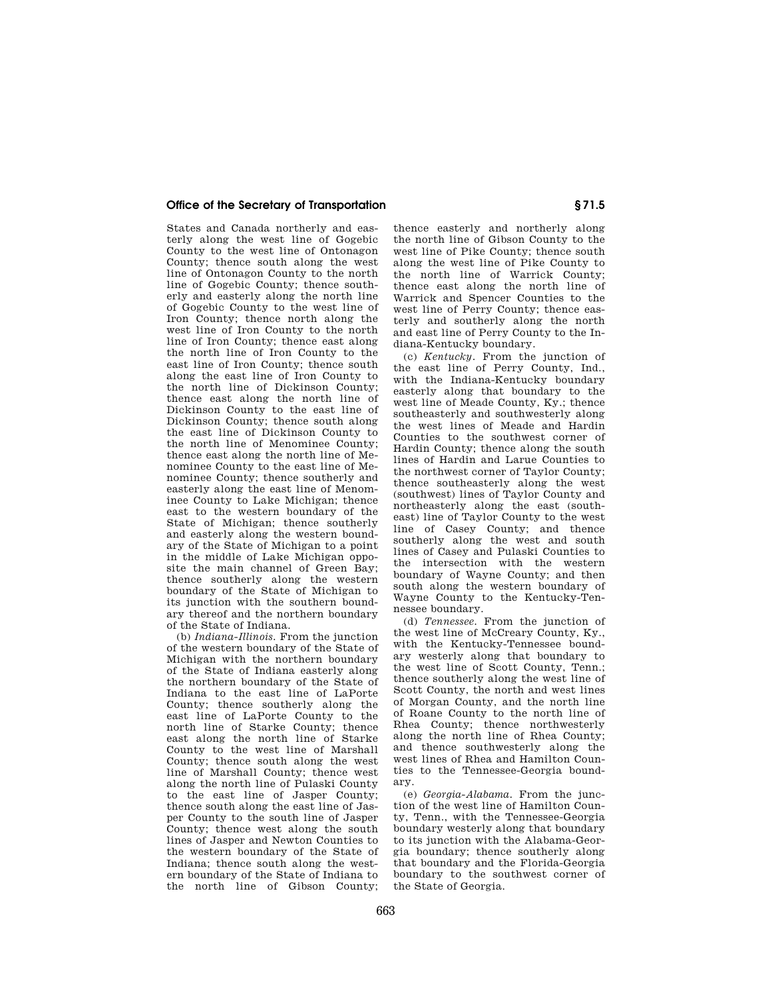## **Office of the Secretary of Transportation § 71.5**

States and Canada northerly and easterly along the west line of Gogebic County to the west line of Ontonagon County; thence south along the west line of Ontonagon County to the north line of Gogebic County; thence southerly and easterly along the north line of Gogebic County to the west line of Iron County; thence north along the west line of Iron County to the north line of Iron County; thence east along the north line of Iron County to the east line of Iron County; thence south along the east line of Iron County to the north line of Dickinson County; thence east along the north line of Dickinson County to the east line of Dickinson County; thence south along the east line of Dickinson County to the north line of Menominee County; thence east along the north line of Menominee County to the east line of Menominee County; thence southerly and easterly along the east line of Menominee County to Lake Michigan; thence east to the western boundary of the State of Michigan; thence southerly and easterly along the western boundary of the State of Michigan to a point in the middle of Lake Michigan opposite the main channel of Green Bay; thence southerly along the western boundary of the State of Michigan to its junction with the southern boundary thereof and the northern boundary of the State of Indiana.

(b) *Indiana-Illinois.* From the junction of the western boundary of the State of Michigan with the northern boundary of the State of Indiana easterly along the northern boundary of the State of Indiana to the east line of LaPorte County; thence southerly along the east line of LaPorte County to the north line of Starke County; thence east along the north line of Starke County to the west line of Marshall County; thence south along the west line of Marshall County; thence west along the north line of Pulaski County to the east line of Jasper County; thence south along the east line of Jasper County to the south line of Jasper County; thence west along the south lines of Jasper and Newton Counties to the western boundary of the State of Indiana; thence south along the western boundary of the State of Indiana to the north line of Gibson County;

thence easterly and northerly along the north line of Gibson County to the west line of Pike County; thence south along the west line of Pike County to the north line of Warrick County; thence east along the north line of Warrick and Spencer Counties to the west line of Perry County; thence easterly and southerly along the north and east line of Perry County to the Indiana-Kentucky boundary.

(c) *Kentucky.* From the junction of the east line of Perry County, Ind., with the Indiana-Kentucky boundary easterly along that boundary to the west line of Meade County, Ky.; thence southeasterly and southwesterly along the west lines of Meade and Hardin Counties to the southwest corner of Hardin County; thence along the south lines of Hardin and Larue Counties to the northwest corner of Taylor County; thence southeasterly along the west (southwest) lines of Taylor County and northeasterly along the east (southeast) line of Taylor County to the west line of Casey County; and thence southerly along the west and south lines of Casey and Pulaski Counties to the intersection with the western boundary of Wayne County; and then south along the western boundary of Wayne County to the Kentucky-Tennessee boundary.

(d) *Tennessee.* From the junction of the west line of McCreary County, Ky., with the Kentucky-Tennessee boundary westerly along that boundary to the west line of Scott County, Tenn.; thence southerly along the west line of Scott County, the north and west lines of Morgan County, and the north line of Roane County to the north line of Rhea County; thence northwesterly along the north line of Rhea County; and thence southwesterly along the west lines of Rhea and Hamilton Counties to the Tennessee-Georgia boundary.

(e) *Georgia-Alabama.* From the junction of the west line of Hamilton County, Tenn., with the Tennessee-Georgia boundary westerly along that boundary to its junction with the Alabama-Georgia boundary; thence southerly along that boundary and the Florida-Georgia boundary to the southwest corner of the State of Georgia.